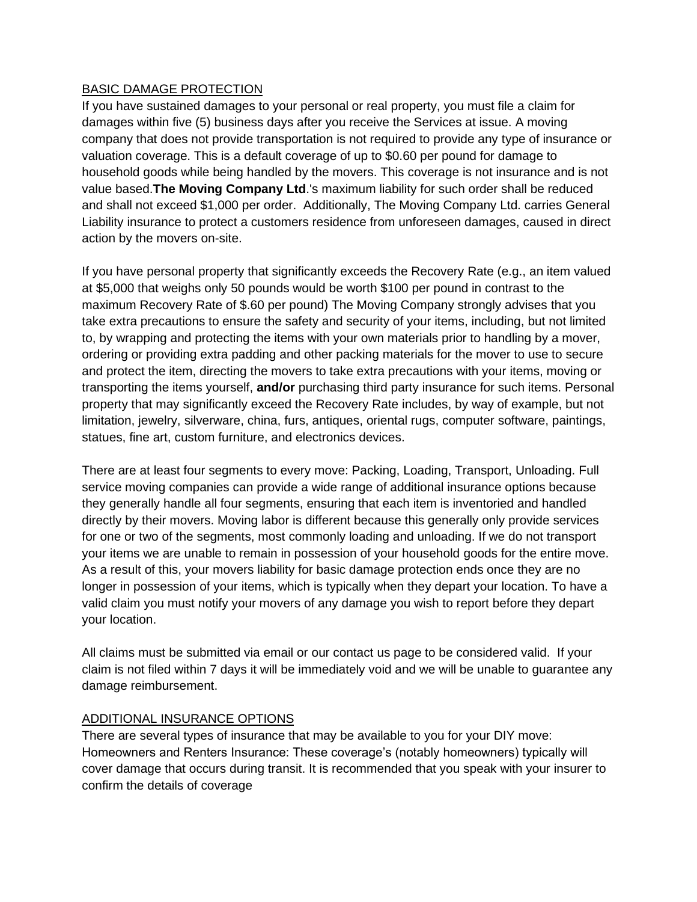### BASIC DAMAGE PROTECTION

If you have sustained damages to your personal or real property, you must file a claim for damages within five (5) business days after you receive the Services at issue. A moving company that does not provide transportation is not required to provide any type of insurance or valuation coverage. This is a default coverage of up to \$0.60 per pound for damage to household goods while being handled by the movers. This coverage is not insurance and is not value based.**The Moving Company Ltd**.'s maximum liability for such order shall be reduced and shall not exceed \$1,000 per order. Additionally, The Moving Company Ltd. carries General Liability insurance to protect a customers residence from unforeseen damages, caused in direct action by the movers on-site.

If you have personal property that significantly exceeds the Recovery Rate (e.g., an item valued at \$5,000 that weighs only 50 pounds would be worth \$100 per pound in contrast to the maximum Recovery Rate of \$.60 per pound) The Moving Company strongly advises that you take extra precautions to ensure the safety and security of your items, including, but not limited to, by wrapping and protecting the items with your own materials prior to handling by a mover, ordering or providing extra padding and other packing materials for the mover to use to secure and protect the item, directing the movers to take extra precautions with your items, moving or transporting the items yourself, **and/or** purchasing third party insurance for such items. Personal property that may significantly exceed the Recovery Rate includes, by way of example, but not limitation, jewelry, silverware, china, furs, antiques, oriental rugs, computer software, paintings, statues, fine art, custom furniture, and electronics devices.

There are at least four segments to every move: Packing, Loading, Transport, Unloading. Full service moving companies can provide a wide range of additional insurance options because they generally handle all four segments, ensuring that each item is inventoried and handled directly by their movers. Moving labor is different because this generally only provide services for one or two of the segments, most commonly loading and unloading. If we do not transport your items we are unable to remain in possession of your household goods for the entire move. As a result of this, your movers liability for basic damage protection ends once they are no longer in possession of your items, which is typically when they depart your location. To have a valid claim you must notify your movers of any damage you wish to report before they depart your location.

All claims must be submitted via email or our contact us page to be considered valid. If your claim is not filed within 7 days it will be immediately void and we will be unable to guarantee any damage reimbursement.

# ADDITIONAL INSURANCE OPTIONS

There are several types of insurance that may be available to you for your DIY move: Homeowners and Renters Insurance: These coverage's (notably homeowners) typically will cover damage that occurs during transit. It is recommended that you speak with your insurer to confirm the details of coverage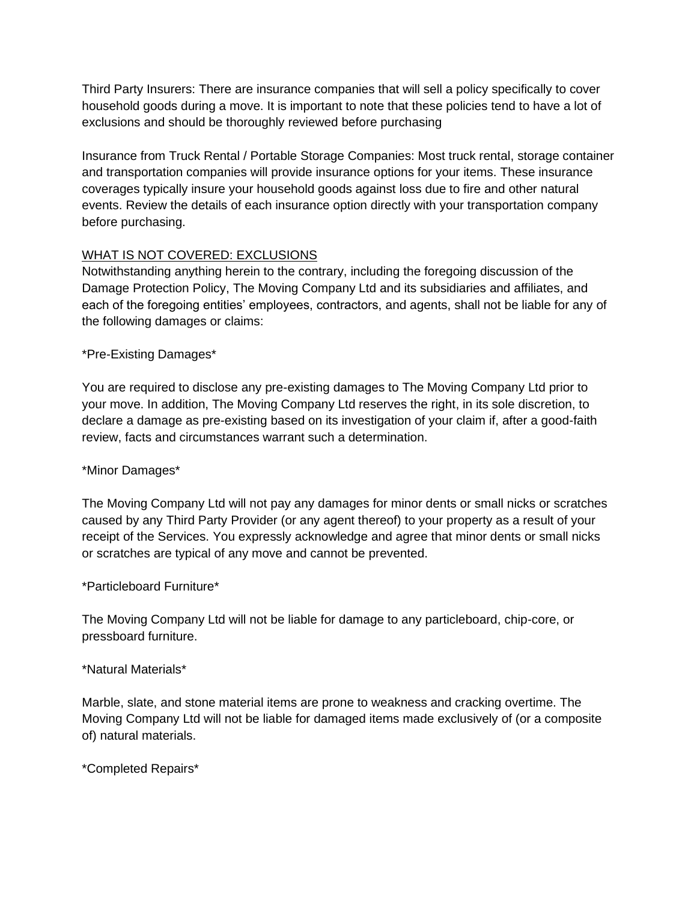Third Party Insurers: There are insurance companies that will sell a policy specifically to cover household goods during a move. It is important to note that these policies tend to have a lot of exclusions and should be thoroughly reviewed before purchasing

Insurance from Truck Rental / Portable Storage Companies: Most truck rental, storage container and transportation companies will provide insurance options for your items. These insurance coverages typically insure your household goods against loss due to fire and other natural events. Review the details of each insurance option directly with your transportation company before purchasing.

# WHAT IS NOT COVERED: EXCLUSIONS

Notwithstanding anything herein to the contrary, including the foregoing discussion of the Damage Protection Policy, The Moving Company Ltd and its subsidiaries and affiliates, and each of the foregoing entities' employees, contractors, and agents, shall not be liable for any of the following damages or claims:

\*Pre-Existing Damages\*

You are required to disclose any pre-existing damages to The Moving Company Ltd prior to your move. In addition, The Moving Company Ltd reserves the right, in its sole discretion, to declare a damage as pre-existing based on its investigation of your claim if, after a good-faith review, facts and circumstances warrant such a determination.

# \*Minor Damages\*

The Moving Company Ltd will not pay any damages for minor dents or small nicks or scratches caused by any Third Party Provider (or any agent thereof) to your property as a result of your receipt of the Services. You expressly acknowledge and agree that minor dents or small nicks or scratches are typical of any move and cannot be prevented.

\*Particleboard Furniture\*

The Moving Company Ltd will not be liable for damage to any particleboard, chip-core, or pressboard furniture.

#### \*Natural Materials\*

Marble, slate, and stone material items are prone to weakness and cracking overtime. The Moving Company Ltd will not be liable for damaged items made exclusively of (or a composite of) natural materials.

\*Completed Repairs\*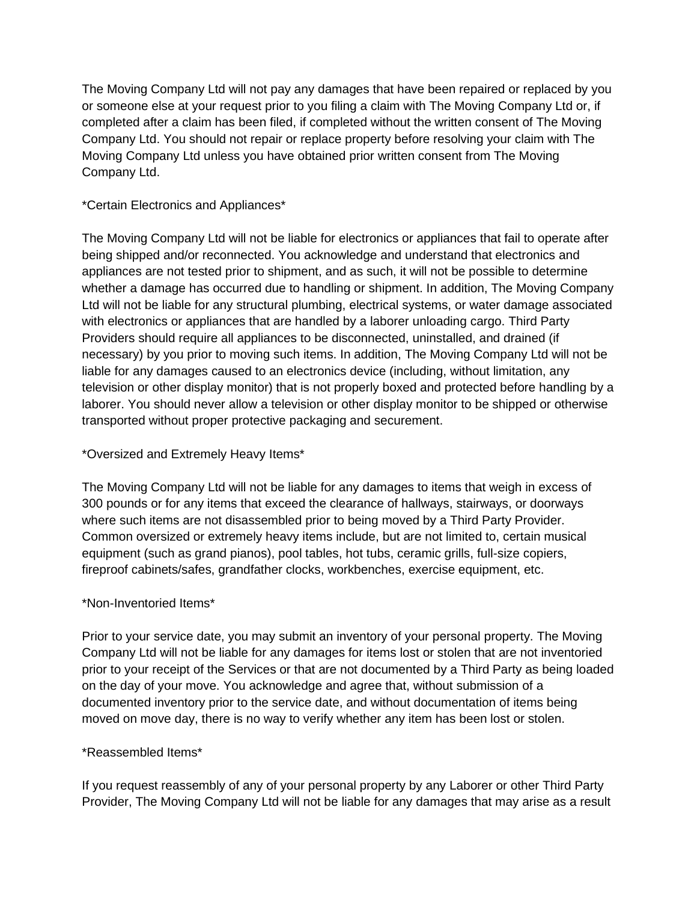The Moving Company Ltd will not pay any damages that have been repaired or replaced by you or someone else at your request prior to you filing a claim with The Moving Company Ltd or, if completed after a claim has been filed, if completed without the written consent of The Moving Company Ltd. You should not repair or replace property before resolving your claim with The Moving Company Ltd unless you have obtained prior written consent from The Moving Company Ltd.

### \*Certain Electronics and Appliances\*

The Moving Company Ltd will not be liable for electronics or appliances that fail to operate after being shipped and/or reconnected. You acknowledge and understand that electronics and appliances are not tested prior to shipment, and as such, it will not be possible to determine whether a damage has occurred due to handling or shipment. In addition, The Moving Company Ltd will not be liable for any structural plumbing, electrical systems, or water damage associated with electronics or appliances that are handled by a laborer unloading cargo. Third Party Providers should require all appliances to be disconnected, uninstalled, and drained (if necessary) by you prior to moving such items. In addition, The Moving Company Ltd will not be liable for any damages caused to an electronics device (including, without limitation, any television or other display monitor) that is not properly boxed and protected before handling by a laborer. You should never allow a television or other display monitor to be shipped or otherwise transported without proper protective packaging and securement.

### \*Oversized and Extremely Heavy Items\*

The Moving Company Ltd will not be liable for any damages to items that weigh in excess of 300 pounds or for any items that exceed the clearance of hallways, stairways, or doorways where such items are not disassembled prior to being moved by a Third Party Provider. Common oversized or extremely heavy items include, but are not limited to, certain musical equipment (such as grand pianos), pool tables, hot tubs, ceramic grills, full-size copiers, fireproof cabinets/safes, grandfather clocks, workbenches, exercise equipment, etc.

#### \*Non-Inventoried Items\*

Prior to your service date, you may submit an inventory of your personal property. The Moving Company Ltd will not be liable for any damages for items lost or stolen that are not inventoried prior to your receipt of the Services or that are not documented by a Third Party as being loaded on the day of your move. You acknowledge and agree that, without submission of a documented inventory prior to the service date, and without documentation of items being moved on move day, there is no way to verify whether any item has been lost or stolen.

#### \*Reassembled Items\*

If you request reassembly of any of your personal property by any Laborer or other Third Party Provider, The Moving Company Ltd will not be liable for any damages that may arise as a result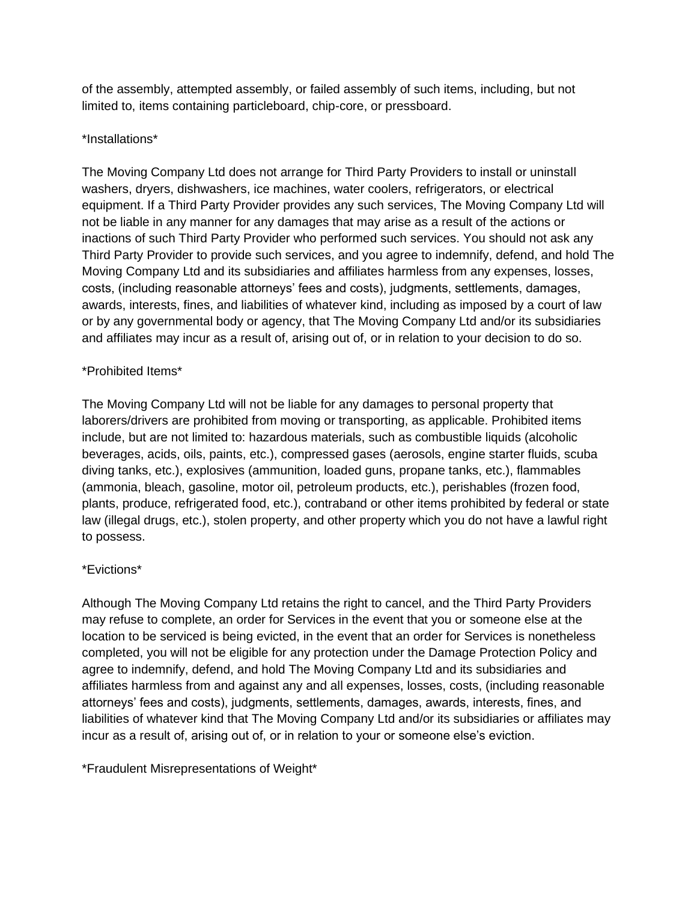of the assembly, attempted assembly, or failed assembly of such items, including, but not limited to, items containing particleboard, chip-core, or pressboard.

### \*Installations\*

The Moving Company Ltd does not arrange for Third Party Providers to install or uninstall washers, dryers, dishwashers, ice machines, water coolers, refrigerators, or electrical equipment. If a Third Party Provider provides any such services, The Moving Company Ltd will not be liable in any manner for any damages that may arise as a result of the actions or inactions of such Third Party Provider who performed such services. You should not ask any Third Party Provider to provide such services, and you agree to indemnify, defend, and hold The Moving Company Ltd and its subsidiaries and affiliates harmless from any expenses, losses, costs, (including reasonable attorneys' fees and costs), judgments, settlements, damages, awards, interests, fines, and liabilities of whatever kind, including as imposed by a court of law or by any governmental body or agency, that The Moving Company Ltd and/or its subsidiaries and affiliates may incur as a result of, arising out of, or in relation to your decision to do so.

### \*Prohibited Items\*

The Moving Company Ltd will not be liable for any damages to personal property that laborers/drivers are prohibited from moving or transporting, as applicable. Prohibited items include, but are not limited to: hazardous materials, such as combustible liquids (alcoholic beverages, acids, oils, paints, etc.), compressed gases (aerosols, engine starter fluids, scuba diving tanks, etc.), explosives (ammunition, loaded guns, propane tanks, etc.), flammables (ammonia, bleach, gasoline, motor oil, petroleum products, etc.), perishables (frozen food, plants, produce, refrigerated food, etc.), contraband or other items prohibited by federal or state law (illegal drugs, etc.), stolen property, and other property which you do not have a lawful right to possess.

# \*Evictions\*

Although The Moving Company Ltd retains the right to cancel, and the Third Party Providers may refuse to complete, an order for Services in the event that you or someone else at the location to be serviced is being evicted, in the event that an order for Services is nonetheless completed, you will not be eligible for any protection under the Damage Protection Policy and agree to indemnify, defend, and hold The Moving Company Ltd and its subsidiaries and affiliates harmless from and against any and all expenses, losses, costs, (including reasonable attorneys' fees and costs), judgments, settlements, damages, awards, interests, fines, and liabilities of whatever kind that The Moving Company Ltd and/or its subsidiaries or affiliates may incur as a result of, arising out of, or in relation to your or someone else's eviction.

\*Fraudulent Misrepresentations of Weight\*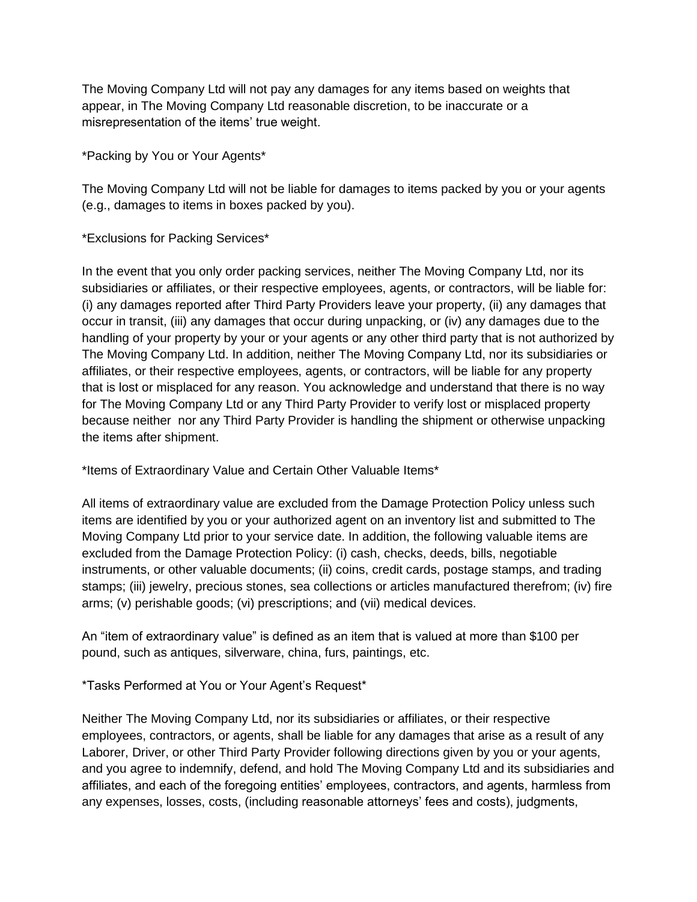The Moving Company Ltd will not pay any damages for any items based on weights that appear, in The Moving Company Ltd reasonable discretion, to be inaccurate or a misrepresentation of the items' true weight.

\*Packing by You or Your Agents\*

The Moving Company Ltd will not be liable for damages to items packed by you or your agents (e.g., damages to items in boxes packed by you).

\*Exclusions for Packing Services\*

In the event that you only order packing services, neither The Moving Company Ltd, nor its subsidiaries or affiliates, or their respective employees, agents, or contractors, will be liable for: (i) any damages reported after Third Party Providers leave your property, (ii) any damages that occur in transit, (iii) any damages that occur during unpacking, or (iv) any damages due to the handling of your property by your or your agents or any other third party that is not authorized by The Moving Company Ltd. In addition, neither The Moving Company Ltd, nor its subsidiaries or affiliates, or their respective employees, agents, or contractors, will be liable for any property that is lost or misplaced for any reason. You acknowledge and understand that there is no way for The Moving Company Ltd or any Third Party Provider to verify lost or misplaced property because neither nor any Third Party Provider is handling the shipment or otherwise unpacking the items after shipment.

\*Items of Extraordinary Value and Certain Other Valuable Items\*

All items of extraordinary value are excluded from the Damage Protection Policy unless such items are identified by you or your authorized agent on an inventory list and submitted to The Moving Company Ltd prior to your service date. In addition, the following valuable items are excluded from the Damage Protection Policy: (i) cash, checks, deeds, bills, negotiable instruments, or other valuable documents; (ii) coins, credit cards, postage stamps, and trading stamps; (iii) jewelry, precious stones, sea collections or articles manufactured therefrom; (iv) fire arms; (v) perishable goods; (vi) prescriptions; and (vii) medical devices.

An "item of extraordinary value" is defined as an item that is valued at more than \$100 per pound, such as antiques, silverware, china, furs, paintings, etc.

\*Tasks Performed at You or Your Agent's Request\*

Neither The Moving Company Ltd, nor its subsidiaries or affiliates, or their respective employees, contractors, or agents, shall be liable for any damages that arise as a result of any Laborer, Driver, or other Third Party Provider following directions given by you or your agents, and you agree to indemnify, defend, and hold The Moving Company Ltd and its subsidiaries and affiliates, and each of the foregoing entities' employees, contractors, and agents, harmless from any expenses, losses, costs, (including reasonable attorneys' fees and costs), judgments,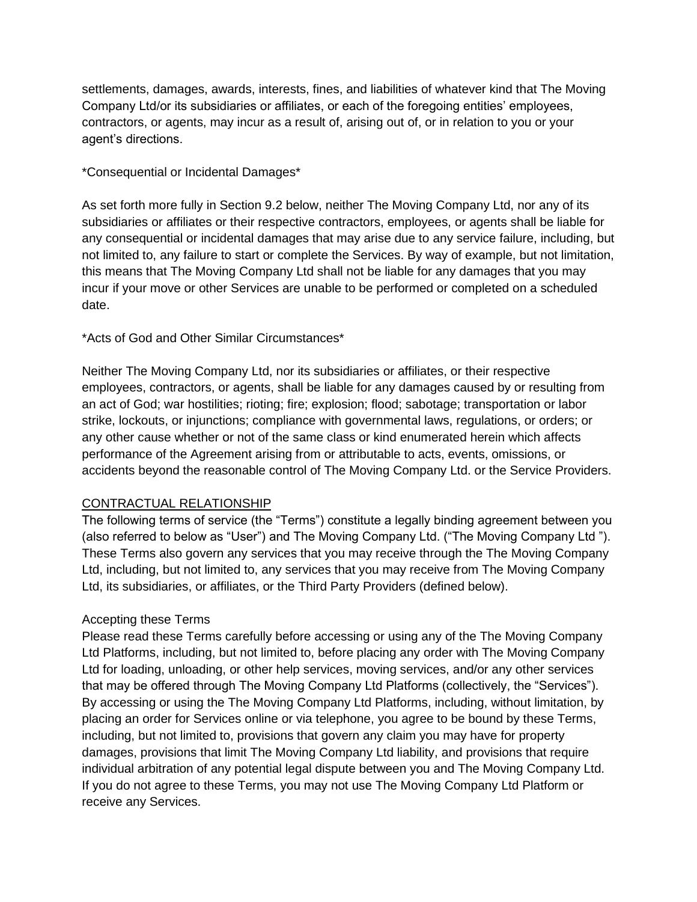settlements, damages, awards, interests, fines, and liabilities of whatever kind that The Moving Company Ltd/or its subsidiaries or affiliates, or each of the foregoing entities' employees, contractors, or agents, may incur as a result of, arising out of, or in relation to you or your agent's directions.

\*Consequential or Incidental Damages\*

As set forth more fully in Section 9.2 below, neither The Moving Company Ltd, nor any of its subsidiaries or affiliates or their respective contractors, employees, or agents shall be liable for any consequential or incidental damages that may arise due to any service failure, including, but not limited to, any failure to start or complete the Services. By way of example, but not limitation, this means that The Moving Company Ltd shall not be liable for any damages that you may incur if your move or other Services are unable to be performed or completed on a scheduled date.

### \*Acts of God and Other Similar Circumstances\*

Neither The Moving Company Ltd, nor its subsidiaries or affiliates, or their respective employees, contractors, or agents, shall be liable for any damages caused by or resulting from an act of God; war hostilities; rioting; fire; explosion; flood; sabotage; transportation or labor strike, lockouts, or injunctions; compliance with governmental laws, regulations, or orders; or any other cause whether or not of the same class or kind enumerated herein which affects performance of the Agreement arising from or attributable to acts, events, omissions, or accidents beyond the reasonable control of The Moving Company Ltd. or the Service Providers.

# CONTRACTUAL RELATIONSHIP

The following terms of service (the "Terms") constitute a legally binding agreement between you (also referred to below as "User") and The Moving Company Ltd. ("The Moving Company Ltd "). These Terms also govern any services that you may receive through the The Moving Company Ltd, including, but not limited to, any services that you may receive from The Moving Company Ltd, its subsidiaries, or affiliates, or the Third Party Providers (defined below).

# Accepting these Terms

Please read these Terms carefully before accessing or using any of the The Moving Company Ltd Platforms, including, but not limited to, before placing any order with The Moving Company Ltd for loading, unloading, or other help services, moving services, and/or any other services that may be offered through The Moving Company Ltd Platforms (collectively, the "Services"). By accessing or using the The Moving Company Ltd Platforms, including, without limitation, by placing an order for Services online or via telephone, you agree to be bound by these Terms, including, but not limited to, provisions that govern any claim you may have for property damages, provisions that limit The Moving Company Ltd liability, and provisions that require individual arbitration of any potential legal dispute between you and The Moving Company Ltd. If you do not agree to these Terms, you may not use The Moving Company Ltd Platform or receive any Services.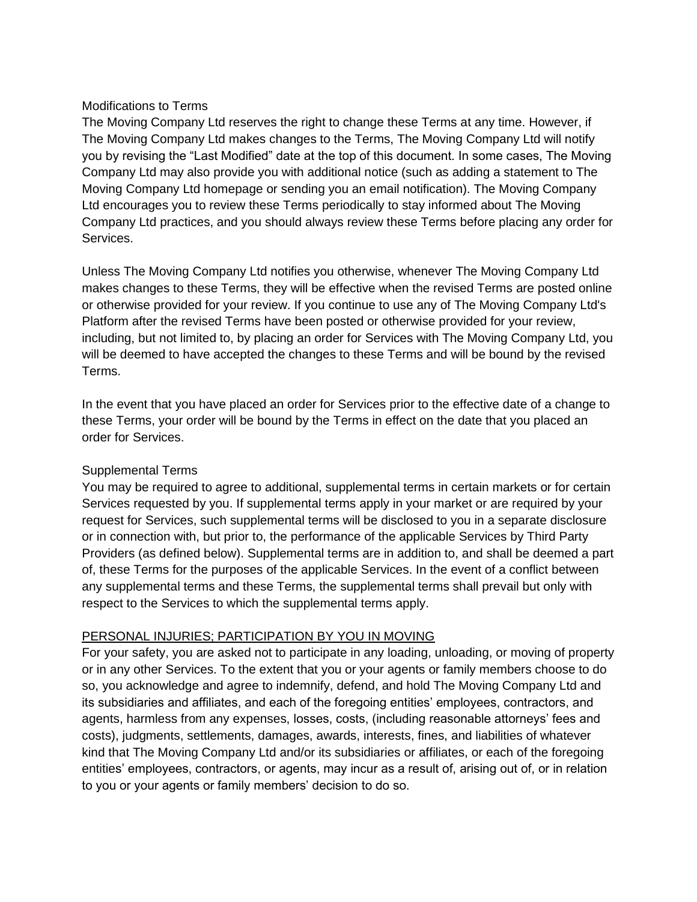### Modifications to Terms

The Moving Company Ltd reserves the right to change these Terms at any time. However, if The Moving Company Ltd makes changes to the Terms, The Moving Company Ltd will notify you by revising the "Last Modified" date at the top of this document. In some cases, The Moving Company Ltd may also provide you with additional notice (such as adding a statement to The Moving Company Ltd homepage or sending you an email notification). The Moving Company Ltd encourages you to review these Terms periodically to stay informed about The Moving Company Ltd practices, and you should always review these Terms before placing any order for Services.

Unless The Moving Company Ltd notifies you otherwise, whenever The Moving Company Ltd makes changes to these Terms, they will be effective when the revised Terms are posted online or otherwise provided for your review. If you continue to use any of The Moving Company Ltd's Platform after the revised Terms have been posted or otherwise provided for your review, including, but not limited to, by placing an order for Services with The Moving Company Ltd, you will be deemed to have accepted the changes to these Terms and will be bound by the revised Terms.

In the event that you have placed an order for Services prior to the effective date of a change to these Terms, your order will be bound by the Terms in effect on the date that you placed an order for Services.

#### Supplemental Terms

You may be required to agree to additional, supplemental terms in certain markets or for certain Services requested by you. If supplemental terms apply in your market or are required by your request for Services, such supplemental terms will be disclosed to you in a separate disclosure or in connection with, but prior to, the performance of the applicable Services by Third Party Providers (as defined below). Supplemental terms are in addition to, and shall be deemed a part of, these Terms for the purposes of the applicable Services. In the event of a conflict between any supplemental terms and these Terms, the supplemental terms shall prevail but only with respect to the Services to which the supplemental terms apply.

#### PERSONAL INJURIES; PARTICIPATION BY YOU IN MOVING

For your safety, you are asked not to participate in any loading, unloading, or moving of property or in any other Services. To the extent that you or your agents or family members choose to do so, you acknowledge and agree to indemnify, defend, and hold The Moving Company Ltd and its subsidiaries and affiliates, and each of the foregoing entities' employees, contractors, and agents, harmless from any expenses, losses, costs, (including reasonable attorneys' fees and costs), judgments, settlements, damages, awards, interests, fines, and liabilities of whatever kind that The Moving Company Ltd and/or its subsidiaries or affiliates, or each of the foregoing entities' employees, contractors, or agents, may incur as a result of, arising out of, or in relation to you or your agents or family members' decision to do so.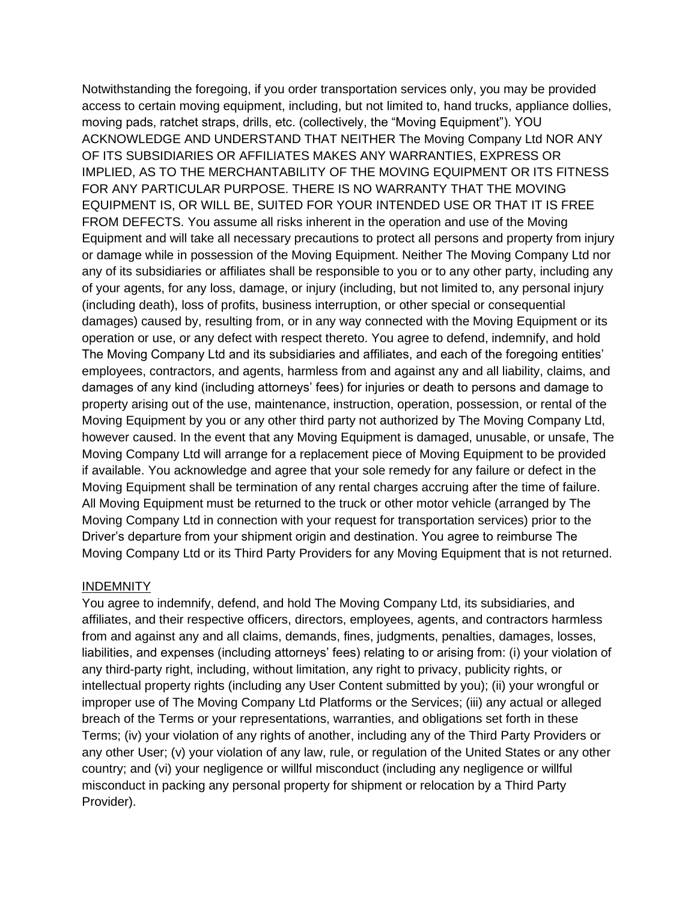Notwithstanding the foregoing, if you order transportation services only, you may be provided access to certain moving equipment, including, but not limited to, hand trucks, appliance dollies, moving pads, ratchet straps, drills, etc. (collectively, the "Moving Equipment"). YOU ACKNOWLEDGE AND UNDERSTAND THAT NEITHER The Moving Company Ltd NOR ANY OF ITS SUBSIDIARIES OR AFFILIATES MAKES ANY WARRANTIES, EXPRESS OR IMPLIED, AS TO THE MERCHANTABILITY OF THE MOVING EQUIPMENT OR ITS FITNESS FOR ANY PARTICULAR PURPOSE. THERE IS NO WARRANTY THAT THE MOVING EQUIPMENT IS, OR WILL BE, SUITED FOR YOUR INTENDED USE OR THAT IT IS FREE FROM DEFECTS. You assume all risks inherent in the operation and use of the Moving Equipment and will take all necessary precautions to protect all persons and property from injury or damage while in possession of the Moving Equipment. Neither The Moving Company Ltd nor any of its subsidiaries or affiliates shall be responsible to you or to any other party, including any of your agents, for any loss, damage, or injury (including, but not limited to, any personal injury (including death), loss of profits, business interruption, or other special or consequential damages) caused by, resulting from, or in any way connected with the Moving Equipment or its operation or use, or any defect with respect thereto. You agree to defend, indemnify, and hold The Moving Company Ltd and its subsidiaries and affiliates, and each of the foregoing entities' employees, contractors, and agents, harmless from and against any and all liability, claims, and damages of any kind (including attorneys' fees) for injuries or death to persons and damage to property arising out of the use, maintenance, instruction, operation, possession, or rental of the Moving Equipment by you or any other third party not authorized by The Moving Company Ltd, however caused. In the event that any Moving Equipment is damaged, unusable, or unsafe, The Moving Company Ltd will arrange for a replacement piece of Moving Equipment to be provided if available. You acknowledge and agree that your sole remedy for any failure or defect in the Moving Equipment shall be termination of any rental charges accruing after the time of failure. All Moving Equipment must be returned to the truck or other motor vehicle (arranged by The Moving Company Ltd in connection with your request for transportation services) prior to the Driver's departure from your shipment origin and destination. You agree to reimburse The Moving Company Ltd or its Third Party Providers for any Moving Equipment that is not returned.

#### INDEMNITY

You agree to indemnify, defend, and hold The Moving Company Ltd, its subsidiaries, and affiliates, and their respective officers, directors, employees, agents, and contractors harmless from and against any and all claims, demands, fines, judgments, penalties, damages, losses, liabilities, and expenses (including attorneys' fees) relating to or arising from: (i) your violation of any third-party right, including, without limitation, any right to privacy, publicity rights, or intellectual property rights (including any User Content submitted by you); (ii) your wrongful or improper use of The Moving Company Ltd Platforms or the Services; (iii) any actual or alleged breach of the Terms or your representations, warranties, and obligations set forth in these Terms; (iv) your violation of any rights of another, including any of the Third Party Providers or any other User; (v) your violation of any law, rule, or regulation of the United States or any other country; and (vi) your negligence or willful misconduct (including any negligence or willful misconduct in packing any personal property for shipment or relocation by a Third Party Provider).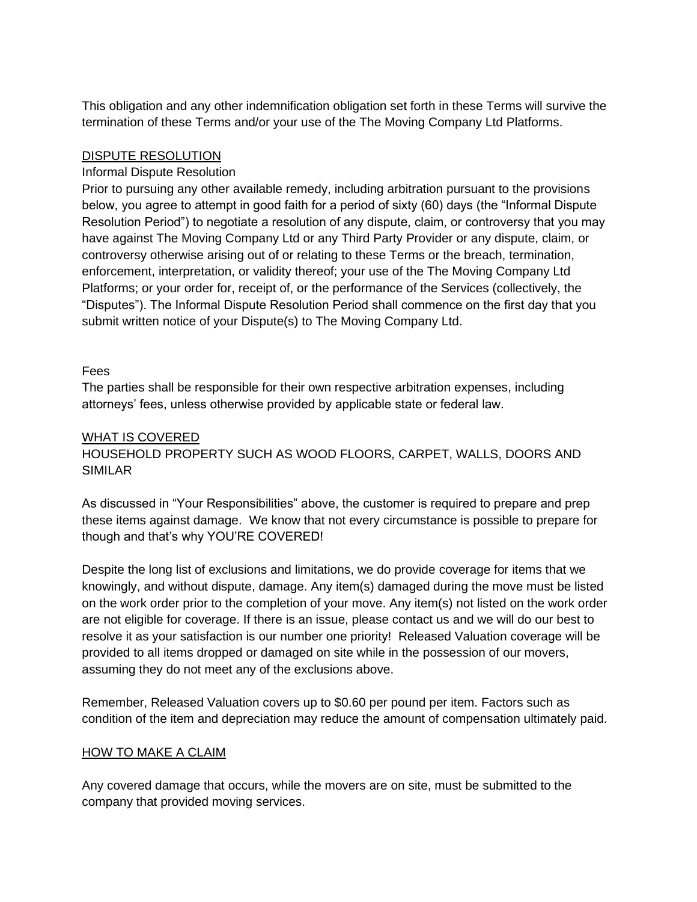This obligation and any other indemnification obligation set forth in these Terms will survive the termination of these Terms and/or your use of the The Moving Company Ltd Platforms.

#### DISPUTE RESOLUTION

### Informal Dispute Resolution

Prior to pursuing any other available remedy, including arbitration pursuant to the provisions below, you agree to attempt in good faith for a period of sixty (60) days (the "Informal Dispute Resolution Period") to negotiate a resolution of any dispute, claim, or controversy that you may have against The Moving Company Ltd or any Third Party Provider or any dispute, claim, or controversy otherwise arising out of or relating to these Terms or the breach, termination, enforcement, interpretation, or validity thereof; your use of the The Moving Company Ltd Platforms; or your order for, receipt of, or the performance of the Services (collectively, the "Disputes"). The Informal Dispute Resolution Period shall commence on the first day that you submit written notice of your Dispute(s) to The Moving Company Ltd.

### Fees

The parties shall be responsible for their own respective arbitration expenses, including attorneys' fees, unless otherwise provided by applicable state or federal law.

#### WHAT IS COVERED

# HOUSEHOLD PROPERTY SUCH AS WOOD FLOORS, CARPET, WALLS, DOORS AND SIMILAR

As discussed in "Your Responsibilities" above, the customer is required to prepare and prep these items against damage. We know that not every circumstance is possible to prepare for though and that's why YOU'RE COVERED!

Despite the long list of exclusions and limitations, we do provide coverage for items that we knowingly, and without dispute, damage. Any item(s) damaged during the move must be listed on the work order prior to the completion of your move. Any item(s) not listed on the work order are not eligible for coverage. If there is an issue, please contact us and we will do our best to resolve it as your satisfaction is our number one priority! Released Valuation coverage will be provided to all items dropped or damaged on site while in the possession of our movers, assuming they do not meet any of the exclusions above.

Remember, Released Valuation covers up to \$0.60 per pound per item. Factors such as condition of the item and depreciation may reduce the amount of compensation ultimately paid.

#### HOW TO MAKE A CLAIM

Any covered damage that occurs, while the movers are on site, must be submitted to the company that provided moving services.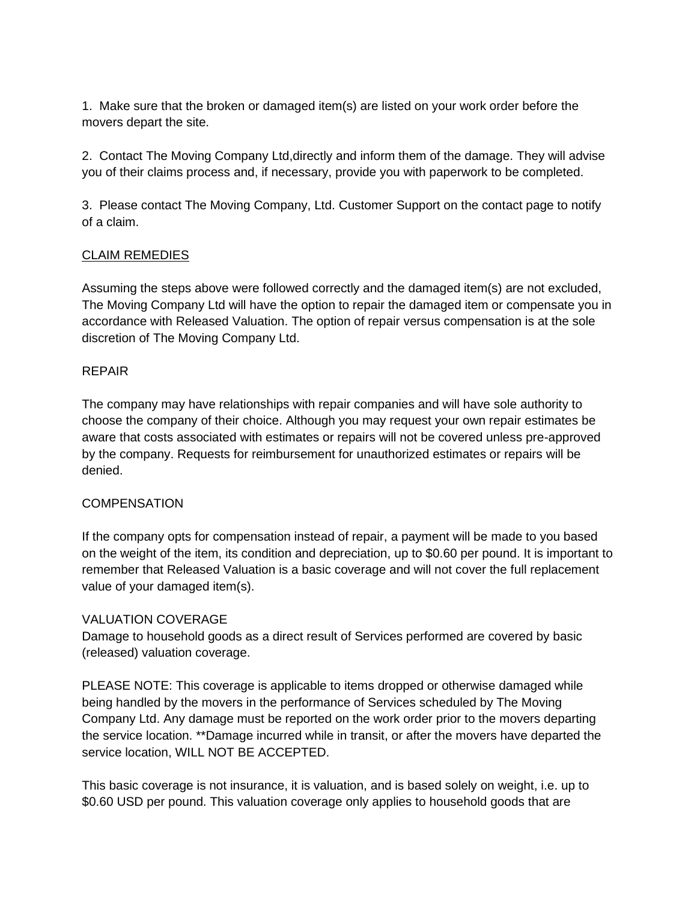1. Make sure that the broken or damaged item(s) are listed on your work order before the movers depart the site.

2. Contact The Moving Company Ltd,directly and inform them of the damage. They will advise you of their claims process and, if necessary, provide you with paperwork to be completed.

3. Please contact The Moving Company, Ltd. Customer Support on the contact page to notify of a claim.

# CLAIM REMEDIES

Assuming the steps above were followed correctly and the damaged item(s) are not excluded, The Moving Company Ltd will have the option to repair the damaged item or compensate you in accordance with Released Valuation. The option of repair versus compensation is at the sole discretion of The Moving Company Ltd.

# REPAIR

The company may have relationships with repair companies and will have sole authority to choose the company of their choice. Although you may request your own repair estimates be aware that costs associated with estimates or repairs will not be covered unless pre-approved by the company. Requests for reimbursement for unauthorized estimates or repairs will be denied.

# **COMPENSATION**

If the company opts for compensation instead of repair, a payment will be made to you based on the weight of the item, its condition and depreciation, up to \$0.60 per pound. It is important to remember that Released Valuation is a basic coverage and will not cover the full replacement value of your damaged item(s).

# VALUATION COVERAGE

Damage to household goods as a direct result of Services performed are covered by basic (released) valuation coverage.

PLEASE NOTE: This coverage is applicable to items dropped or otherwise damaged while being handled by the movers in the performance of Services scheduled by The Moving Company Ltd. Any damage must be reported on the work order prior to the movers departing the service location. \*\*Damage incurred while in transit, or after the movers have departed the service location, WILL NOT BE ACCEPTED.

This basic coverage is not insurance, it is valuation, and is based solely on weight, i.e. up to \$0.60 USD per pound. This valuation coverage only applies to household goods that are